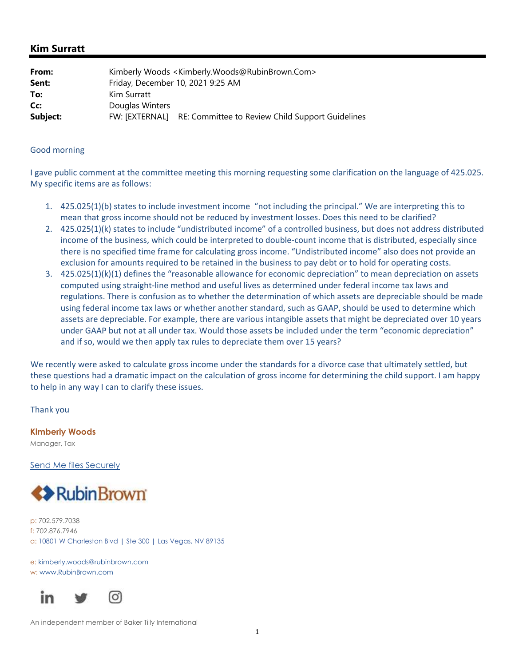## **Kim Surratt**

| From:    | Kimberly Woods < Kimberly. Woods@RubinBrown.Com>                |
|----------|-----------------------------------------------------------------|
| Sent:    | Friday, December 10, 2021 9:25 AM                               |
| To:      | Kim Surratt                                                     |
| Cc:      | Douglas Winters                                                 |
| Subject: | FW: [EXTERNAL] RE: Committee to Review Child Support Guidelines |

## Good morning

I gave public comment at the committee meeting this morning requesting some clarification on the language of 425.025. My specific items are as follows:

- 1. 425.025(1)(b) states to include investment income "not including the principal." We are interpreting this to mean that gross income should not be reduced by investment losses. Does this need to be clarified?
- 2. 425.025(1)(k) states to include "undistributed income" of a controlled business, but does not address distributed income of the business, which could be interpreted to double‐count income that is distributed, especially since there is no specified time frame for calculating gross income. "Undistributed income" also does not provide an exclusion for amounts required to be retained in the business to pay debt or to hold for operating costs.
- 3. 425.025(1)(k)(1) defines the "reasonable allowance for economic depreciation" to mean depreciation on assets computed using straight‐line method and useful lives as determined under federal income tax laws and regulations. There is confusion as to whether the determination of which assets are depreciable should be made using federal income tax laws or whether another standard, such as GAAP, should be used to determine which assets are depreciable. For example, there are various intangible assets that might be depreciated over 10 years under GAAP but not at all under tax. Would those assets be included under the term "economic depreciation" and if so, would we then apply tax rules to depreciate them over 15 years?

We recently were asked to calculate gross income under the standards for a divorce case that ultimately settled, but these questions had a dramatic impact on the calculation of gross income for determining the child support. I am happy to help in any way I can to clarify these issues.

Thank you

**Kimberly Woods**  Manager, Tax

Send Me files Securely



p: 702.579.7038 f: 702.876.7946 a: 10801 W Charleston Blvd | Ste 300 | Las Vegas, NV 89135

e: kimberly.woods@rubinbrown.com w: www.RubinBrown.com



An independent member of Baker Tilly International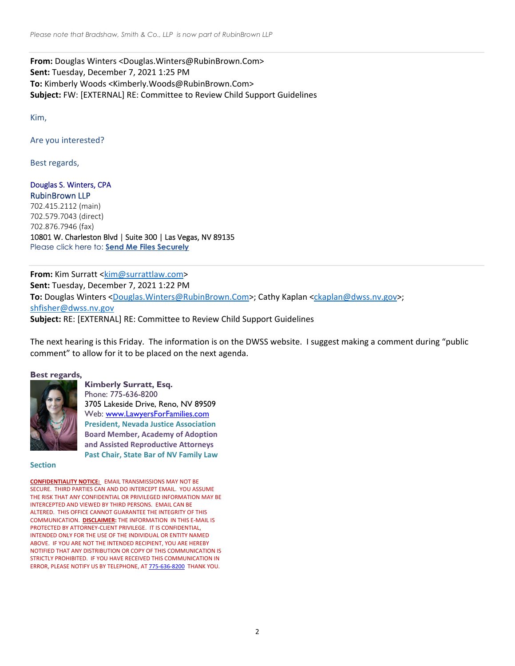**From:** Douglas Winters <Douglas.Winters@RubinBrown.Com> **Sent:** Tuesday, December 7, 2021 1:25 PM **To:** Kimberly Woods <Kimberly.Woods@RubinBrown.Com> **Subject:** FW: [EXTERNAL] RE: Committee to Review Child Support Guidelines

Kim,

Are you interested?

Best regards,

Douglas S. Winters, CPA RubinBrown LLP 702.415.2112 (main) 702.579.7043 (direct) 702.876.7946 (fax) 10801 W. Charleston Blvd | Suite 300 | Las Vegas, NV 89135 Please click here to: **Send Me Files Securely**

**From:** Kim Surratt <kim@surrattlaw.com> **Sent:** Tuesday, December 7, 2021 1:22 PM **To:** Douglas Winters <Douglas.Winters@RubinBrown.Com>; Cathy Kaplan <ckaplan@dwss.nv.gov>; shfisher@dwss.nv.gov **Subject:** RE: [EXTERNAL] RE: Committee to Review Child Support Guidelines

The next hearing is this Friday. The information is on the DWSS website. I suggest making a comment during "public comment" to allow for it to be placed on the next agenda.

## **Best regards,**



**Kimberly Surratt, Esq.** Phone: 775-636-8200 3705 Lakeside Drive, Reno, NV 89509 Web: www.LawyersForFamilies.com **President, Nevada Justice Association Board Member, Academy of Adoption and Assisted Reproductive Attorneys Past Chair, State Bar of NV Family Law**

**Section**

**CONFIDENTIALITY NOTICE:** EMAIL TRANSMISSIONS MAY NOT BE SECURE. THIRD PARTIES CAN AND DO INTERCEPT EMAIL. YOU ASSUME THE RISK THAT ANY CONFIDENTIAL OR PRIVILEGED INFORMATION MAY BE INTERCEPTED AND VIEWED BY THIRD PERSONS. EMAIL CAN BE ALTERED. THIS OFFICE CANNOT GUARANTEE THE INTEGRITY OF THIS COMMUNICATION. **DISCLAIMER:** THE INFORMATION IN THIS E‐MAIL IS PROTECTED BY ATTORNEY‐CLIENT PRIVILEGE. IT IS CONFIDENTIAL, INTENDED ONLY FOR THE USE OF THE INDIVIDUAL OR ENTITY NAMED ABOVE. IF YOU ARE NOT THE INTENDED RECIPIENT, YOU ARE HEREBY NOTIFIED THAT ANY DISTRIBUTION OR COPY OF THIS COMMUNICATION IS STRICTLY PROHIBITED. IF YOU HAVE RECEIVED THIS COMMUNICATION IN ERROR, PLEASE NOTIFY US BY TELEPHONE, AT 775‐636‐8200 THANK YOU.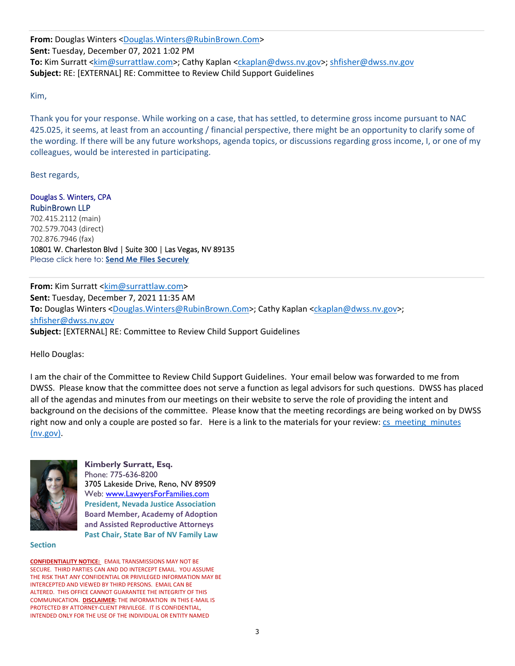**From:** Douglas Winters <Douglas.Winters@RubinBrown.Com> **Sent:** Tuesday, December 07, 2021 1:02 PM **To:** Kim Surratt <kim@surrattlaw.com>; Cathy Kaplan <ckaplan@dwss.nv.gov>; shfisher@dwss.nv.gov **Subject:** RE: [EXTERNAL] RE: Committee to Review Child Support Guidelines

Kim,

Thank you for your response. While working on a case, that has settled, to determine gross income pursuant to NAC 425.025, it seems, at least from an accounting / financial perspective, there might be an opportunity to clarify some of the wording. If there will be any future workshops, agenda topics, or discussions regarding gross income, I, or one of my colleagues, would be interested in participating.

Best regards,

Douglas S. Winters, CPA RubinBrown LLP 702.415.2112 (main) 702.579.7043 (direct) 702.876.7946 (fax) 10801 W. Charleston Blvd | Suite 300 | Las Vegas, NV 89135 Please click here to: **Send Me Files Securely**

**From:** Kim Surratt <kim@surrattlaw.com> **Sent:** Tuesday, December 7, 2021 11:35 AM To: Douglas Winters <Douglas.Winters@RubinBrown.Com>; Cathy Kaplan <ckaplan@dwss.nv.gov>; shfisher@dwss.nv.gov **Subject:** [EXTERNAL] RE: Committee to Review Child Support Guidelines

Hello Douglas:

I am the chair of the Committee to Review Child Support Guidelines. Your email below was forwarded to me from DWSS. Please know that the committee does not serve a function as legal advisors for such questions. DWSS has placed all of the agendas and minutes from our meetings on their website to serve the role of providing the intent and background on the decisions of the committee. Please know that the meeting recordings are being worked on by DWSS right now and only a couple are posted so far. Here is a link to the materials for your review: cs\_meeting\_minutes (nv.gov).



**Kimberly Surratt, Esq.** Phone: 775-636-8200 3705 Lakeside Drive, Reno, NV 89509 Web: www.LawyersForFamilies.com **President, Nevada Justice Association Board Member, Academy of Adoption and Assisted Reproductive Attorneys Past Chair, State Bar of NV Family Law**

**Section**

**CONFIDENTIALITY NOTICE:** EMAIL TRANSMISSIONS MAY NOT BE SECURE. THIRD PARTIES CAN AND DO INTERCEPT EMAIL. YOU ASSUME THE RISK THAT ANY CONFIDENTIAL OR PRIVILEGED INFORMATION MAY BE INTERCEPTED AND VIEWED BY THIRD PERSONS. EMAIL CAN BE ALTERED. THIS OFFICE CANNOT GUARANTEE THE INTEGRITY OF THIS COMMUNICATION. **DISCLAIMER:** THE INFORMATION IN THIS E‐MAIL IS PROTECTED BY ATTORNEY‐CLIENT PRIVILEGE. IT IS CONFIDENTIAL, INTENDED ONLY FOR THE USE OF THE INDIVIDUAL OR ENTITY NAMED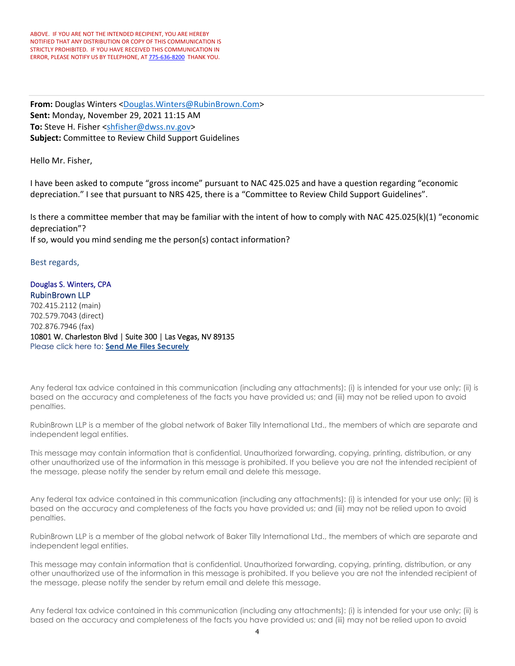**From:** Douglas Winters <Douglas.Winters@RubinBrown.Com> **Sent:** Monday, November 29, 2021 11:15 AM **To:** Steve H. Fisher <shfisher@dwss.nv.gov> **Subject:** Committee to Review Child Support Guidelines

Hello Mr. Fisher,

I have been asked to compute "gross income" pursuant to NAC 425.025 and have a question regarding "economic depreciation." I see that pursuant to NRS 425, there is a "Committee to Review Child Support Guidelines".

Is there a committee member that may be familiar with the intent of how to comply with NAC 425.025(k)(1) "economic depreciation"?

If so, would you mind sending me the person(s) contact information?

Best regards,

Douglas S. Winters, CPA RubinBrown LLP 702.415.2112 (main) 702.579.7043 (direct) 702.876.7946 (fax) 10801 W. Charleston Blvd | Suite 300 | Las Vegas, NV 89135 Please click here to: **Send Me Files Securely**

Any federal tax advice contained in this communication (including any attachments): (i) is intended for your use only; (ii) is based on the accuracy and completeness of the facts you have provided us; and (iii) may not be relied upon to avoid penalties.

RubinBrown LLP is a member of the global network of Baker Tilly International Ltd., the members of which are separate and independent legal entities.

This message may contain information that is confidential. Unauthorized forwarding, copying, printing, distribution, or any other unauthorized use of the information in this message is prohibited. If you believe you are not the intended recipient of the message, please notify the sender by return email and delete this message.

Any federal tax advice contained in this communication (including any attachments): (i) is intended for your use only; (ii) is based on the accuracy and completeness of the facts you have provided us; and (iii) may not be relied upon to avoid penalties.

RubinBrown LLP is a member of the global network of Baker Tilly International Ltd., the members of which are separate and independent legal entities.

This message may contain information that is confidential. Unauthorized forwarding, copying, printing, distribution, or any other unauthorized use of the information in this message is prohibited. If you believe you are not the intended recipient of the message, please notify the sender by return email and delete this message.

Any federal tax advice contained in this communication (including any attachments): (i) is intended for your use only; (ii) is based on the accuracy and completeness of the facts you have provided us; and (iii) may not be relied upon to avoid